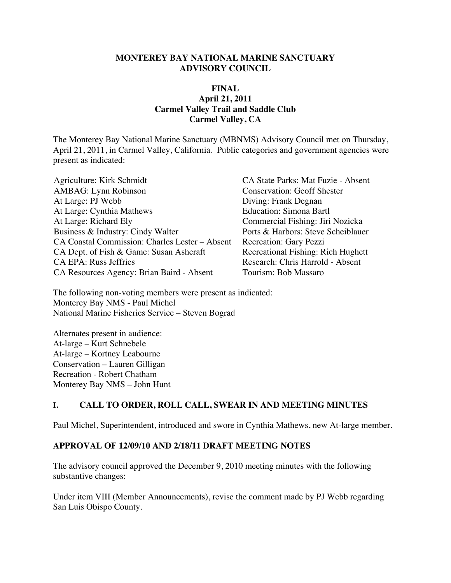#### **MONTEREY BAY NATIONAL MARINE SANCTUARY ADVISORY COUNCIL**

#### **FINAL April 21, 2011 Carmel Valley Trail and Saddle Club Carmel Valley, CA**

The Monterey Bay National Marine Sanctuary (MBNMS) Advisory Council met on Thursday, April 21, 2011, in Carmel Valley, California. Public categories and government agencies were present as indicated:

| Agriculture: Kirk Schmidt                      |
|------------------------------------------------|
| <b>AMBAG</b> : Lynn Robinson                   |
| At Large: PJ Webb                              |
| At Large: Cynthia Mathews                      |
| At Large: Richard Ely                          |
| Business & Industry: Cindy Walter              |
| CA Coastal Commission: Charles Lester - Absent |
| CA Dept. of Fish & Game: Susan Ashcraft        |
| <b>CA EPA: Russ Jeffries</b>                   |
| CA Resources Agency: Brian Baird - Absent      |

CA State Parks: Mat Fuzie - Absent Conservation: Geoff Shester Diving: Frank Degnan Education: Simona Bartl Commercial Fishing: Jiri Nozicka Ports & Harbors: Steve Scheiblauer Recreation: Gary Pezzi Recreational Fishing: Rich Hughett Research: Chris Harrold - Absent Tourism: Bob Massaro

The following non-voting members were present as indicated: Monterey Bay NMS - Paul Michel National Marine Fisheries Service – Steven Bograd

Alternates present in audience: At-large – Kurt Schnebele At-large – Kortney Leabourne Conservation – Lauren Gilligan Recreation - Robert Chatham Monterey Bay NMS – John Hunt

#### **I. CALL TO ORDER, ROLL CALL, SWEAR IN AND MEETING MINUTES**

Paul Michel, Superintendent, introduced and swore in Cynthia Mathews, new At-large member.

#### **APPROVAL OF 12/09/10 AND 2/18/11 DRAFT MEETING NOTES**

The advisory council approved the December 9, 2010 meeting minutes with the following substantive changes:

Under item VIII (Member Announcements), revise the comment made by PJ Webb regarding San Luis Obispo County.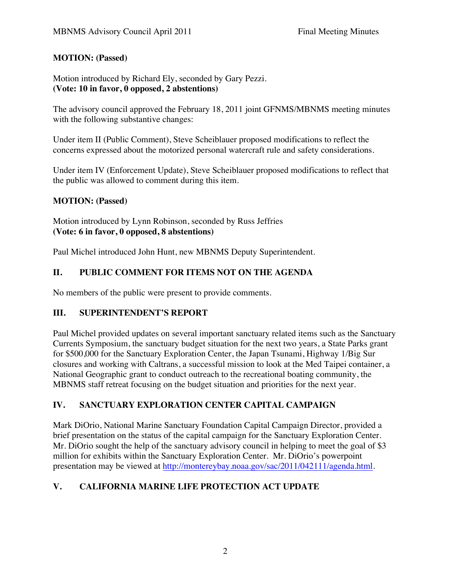### **MOTION: (Passed)**

Motion introduced by Richard Ely, seconded by Gary Pezzi. **(Vote: 10 in favor, 0 opposed, 2 abstentions)**

The advisory council approved the February 18, 2011 joint GFNMS/MBNMS meeting minutes with the following substantive changes:

Under item II (Public Comment), Steve Scheiblauer proposed modifications to reflect the concerns expressed about the motorized personal watercraft rule and safety considerations.

Under item IV (Enforcement Update), Steve Scheiblauer proposed modifications to reflect that the public was allowed to comment during this item.

### **MOTION: (Passed)**

Motion introduced by Lynn Robinson, seconded by Russ Jeffries **(Vote: 6 in favor, 0 opposed, 8 abstentions)**

Paul Michel introduced John Hunt, new MBNMS Deputy Superintendent.

# **II. PUBLIC COMMENT FOR ITEMS NOT ON THE AGENDA**

No members of the public were present to provide comments.

### **III. SUPERINTENDENT'S REPORT**

Paul Michel provided updates on several important sanctuary related items such as the Sanctuary Currents Symposium, the sanctuary budget situation for the next two years, a State Parks grant for \$500,000 for the Sanctuary Exploration Center, the Japan Tsunami, Highway 1/Big Sur closures and working with Caltrans, a successful mission to look at the Med Taipei container, a National Geographic grant to conduct outreach to the recreational boating community, the MBNMS staff retreat focusing on the budget situation and priorities for the next year.

## **IV. SANCTUARY EXPLORATION CENTER CAPITAL CAMPAIGN**

Mark DiOrio, National Marine Sanctuary Foundation Capital Campaign Director, provided a brief presentation on the status of the capital campaign for the Sanctuary Exploration Center. Mr. DiOrio sought the help of the sanctuary advisory council in helping to meet the goal of \$3 million for exhibits within the Sanctuary Exploration Center. Mr. DiOrio's powerpoint presentation may be viewed at http://montereybay.noaa.gov/sac/2011/042111/agenda.html.

# **V. CALIFORNIA MARINE LIFE PROTECTION ACT UPDATE**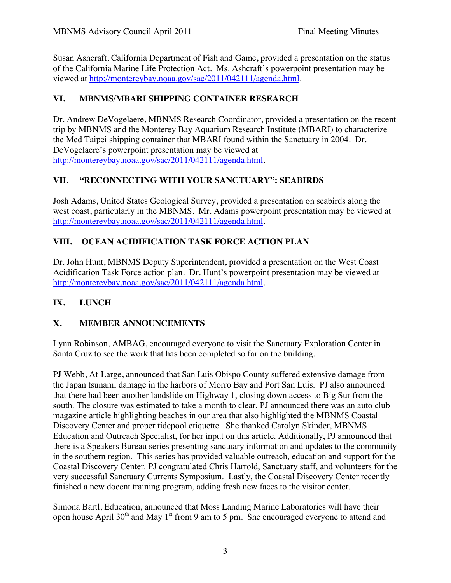Susan Ashcraft, California Department of Fish and Game, provided a presentation on the status of the California Marine Life Protection Act. Ms. Ashcraft's powerpoint presentation may be viewed at http://montereybay.noaa.gov/sac/2011/042111/agenda.html.

### **VI. MBNMS/MBARI SHIPPING CONTAINER RESEARCH**

Dr. Andrew DeVogelaere, MBNMS Research Coordinator, provided a presentation on the recent trip by MBNMS and the Monterey Bay Aquarium Research Institute (MBARI) to characterize the Med Taipei shipping container that MBARI found within the Sanctuary in 2004. Dr. DeVogelaere's powerpoint presentation may be viewed at http://montereybay.noaa.gov/sac/2011/042111/agenda.html.

## **VII. "RECONNECTING WITH YOUR SANCTUARY": SEABIRDS**

Josh Adams, United States Geological Survey, provided a presentation on seabirds along the west coast, particularly in the MBNMS. Mr. Adams powerpoint presentation may be viewed at http://montereybay.noaa.gov/sac/2011/042111/agenda.html.

## **VIII. OCEAN ACIDIFICATION TASK FORCE ACTION PLAN**

Dr. John Hunt, MBNMS Deputy Superintendent, provided a presentation on the West Coast Acidification Task Force action plan. Dr. Hunt's powerpoint presentation may be viewed at http://montereybay.noaa.gov/sac/2011/042111/agenda.html.

### **IX. LUNCH**

## **X. MEMBER ANNOUNCEMENTS**

Lynn Robinson, AMBAG, encouraged everyone to visit the Sanctuary Exploration Center in Santa Cruz to see the work that has been completed so far on the building.

PJ Webb, At-Large, announced that San Luis Obispo County suffered extensive damage from the Japan tsunami damage in the harbors of Morro Bay and Port San Luis. PJ also announced that there had been another landslide on Highway 1, closing down access to Big Sur from the south. The closure was estimated to take a month to clear. PJ announced there was an auto club magazine article highlighting beaches in our area that also highlighted the MBNMS Coastal Discovery Center and proper tidepool etiquette. She thanked Carolyn Skinder, MBNMS Education and Outreach Specialist, for her input on this article. Additionally, PJ announced that there is a Speakers Bureau series presenting sanctuary information and updates to the community in the southern region. This series has provided valuable outreach, education and support for the Coastal Discovery Center. PJ congratulated Chris Harrold, Sanctuary staff, and volunteers for the very successful Sanctuary Currents Symposium. Lastly, the Coastal Discovery Center recently finished a new docent training program, adding fresh new faces to the visitor center.

Simona Bartl, Education, announced that Moss Landing Marine Laboratories will have their open house April 30<sup>th</sup> and May 1<sup>st</sup> from 9 am to 5 pm. She encouraged everyone to attend and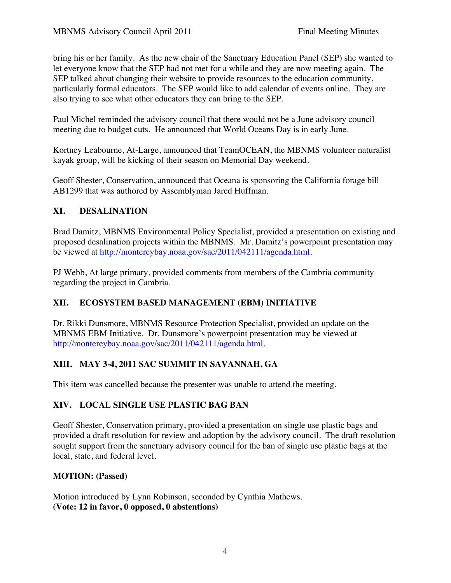bring his or her family. As the new chair of the Sanctuary Education Panel (SEP) she wanted to let everyone know that the SEP had not met for a while and they are now meeting again. The SEP talked about changing their website to provide resources to the education community, particularly formal educators. The SEP would like to add calendar of events online. They are also trying to see what other educators they can bring to the SEP.

Paul Michel reminded the advisory council that there would not be a June advisory council meeting due to budget cuts. He announced that World Oceans Day is in early June.

Kortney Leabourne, At-Large, announced that TeamOCEAN, the MBNMS volunteer naturalist kayak group, will be kicking of their season on Memorial Day weekend.

Geoff Shester, Conservation, announced that Oceana is sponsoring the California forage bill AB1299 that was authored by Assemblyman Jared Huffman.

### **XI. DESALINATION**

Brad Damitz, MBNMS Environmental Policy Specialist, provided a presentation on existing and proposed desalination projects within the MBNMS. Mr. Damitz's powerpoint presentation may be viewed at http://montereybay.noaa.gov/sac/2011/042111/agenda.html.

PJ Webb, At large primary, provided comments from members of the Cambria community regarding the project in Cambria.

## **XII. ECOSYSTEM BASED MANAGEMENT (EBM) INITIATIVE**

Dr. Rikki Dunsmore, MBNMS Resource Protection Specialist, provided an update on the MBNMS EBM Initiative. Dr. Dunsmore's powerpoint presentation may be viewed at http://montereybay.noaa.gov/sac/2011/042111/agenda.html.

## **XIII. MAY 3-4, 2011 SAC SUMMIT IN SAVANNAH, GA**

This item was cancelled because the presenter was unable to attend the meeting.

## **XIV. LOCAL SINGLE USE PLASTIC BAG BAN**

Geoff Shester, Conservation primary, provided a presentation on single use plastic bags and provided a draft resolution for review and adoption by the advisory council. The draft resolution sought support from the sanctuary advisory council for the ban of single use plastic bags at the local, state, and federal level.

### **MOTION: (Passed)**

Motion introduced by Lynn Robinson, seconded by Cynthia Mathews. **(Vote: 12 in favor, 0 opposed, 0 abstentions)**